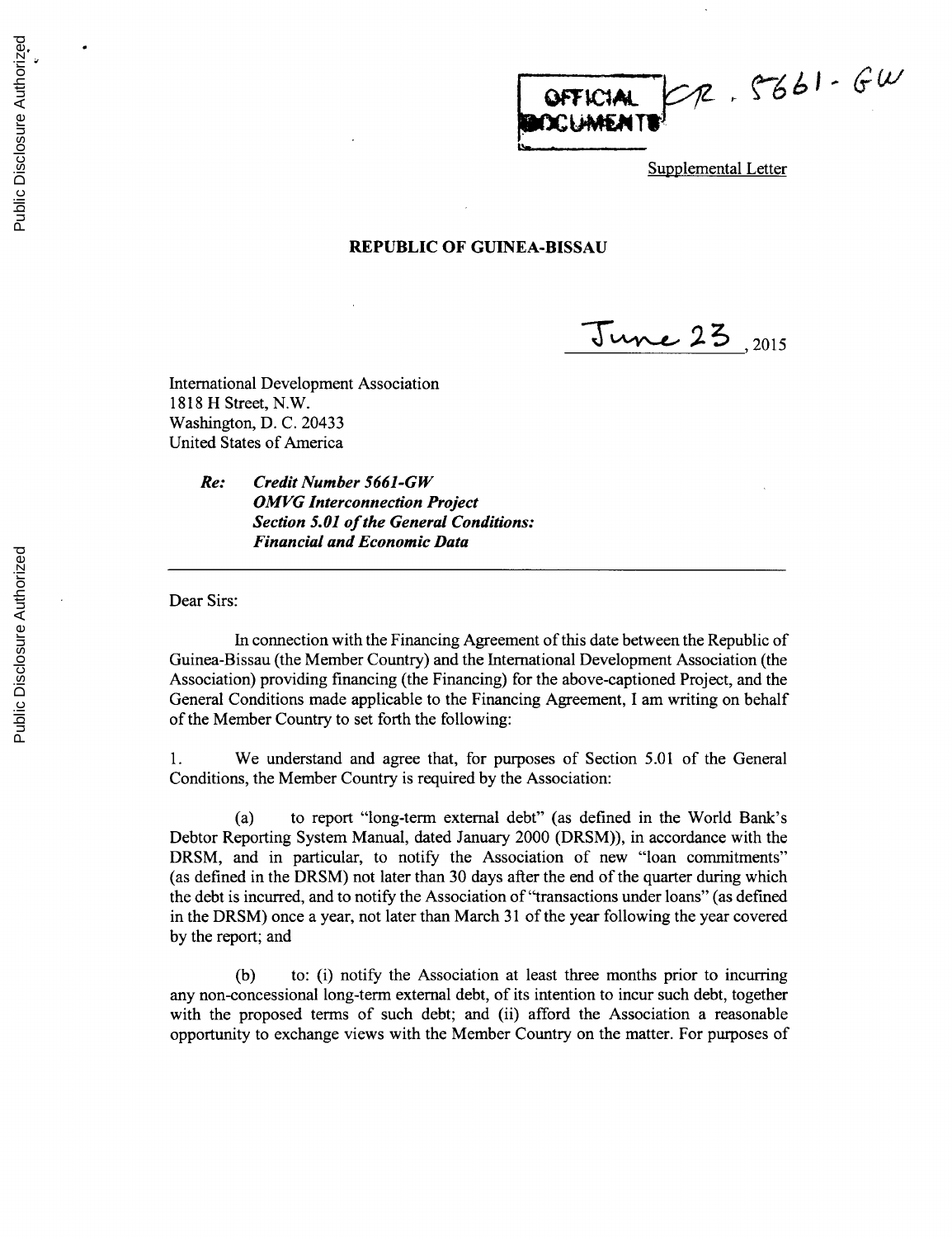OFFICIAL CR. 5661-GW

Supplemental Letter

## **REPUBLIC OF GUINEA-BISSAU**

**,- 2015**

International Development Association **1818** H Street, N.W. Washington, **D. C.** 20433 United States of America

> *Re: Credit Number 5661-GW OMVG Interconnection Project Section 5.01 of the General Conditions: Financial and Economic Data*

Dear Sirs:

In connection with the Financing Agreement of this date between the Republic of Guinea-Bissau (the Member Country) and the International Development Association (the Association) providing financing (the Financing) for the above-captioned Project, and the General Conditions made applicable to the Financing Agreement, **I** am writing on behalf of the Member Country to set forth the following:

**1.** We understand and agree that, for purposes of Section **5.01** of the General Conditions, the Member Country is required **by** the Association:

(a) to report "long-term external debt" (as defined in the World Bank's Debtor Reporting System Manual, dated January 2000 (DRSM)), in accordance with the DRSM, and in particular, to notify the Association of new "loan commitments" (as defined in the DRSM) not later than **30** days after the end of the quarter during which the debt is incurred, and to notify the Association of "transactions under loans" (as defined in the DRSM) once a year, not later than March **31** of the year following the year covered **by** the report; and

**(b)** to: (i) notify the Association at least three months prior to incurring any non-concessional long-term external debt, of its intention to incur such debt, together with the proposed terms of such debt; and (ii) afford the Association a reasonable opportunity to exchange views with the Member Country on the matter. For purposes of